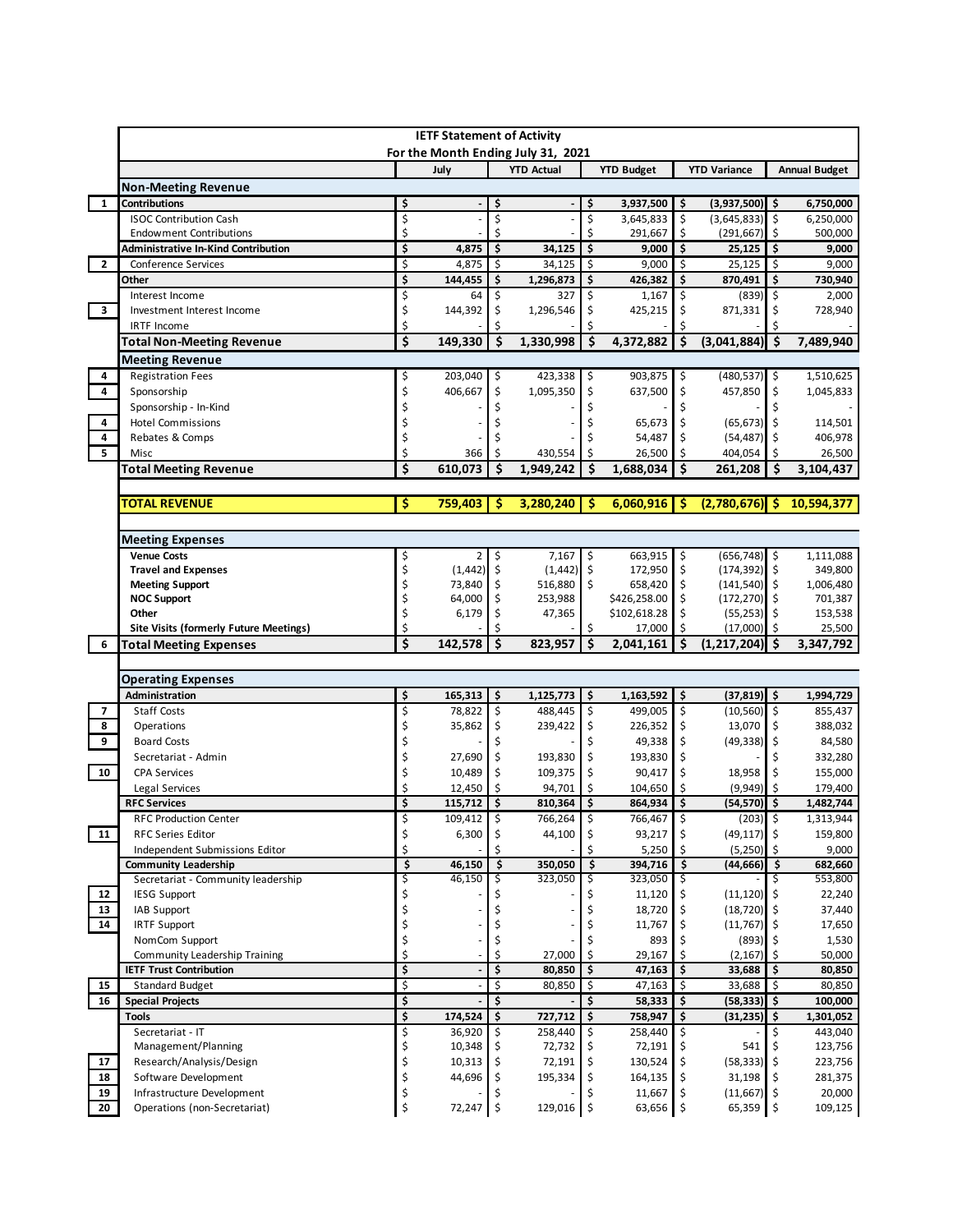| <b>YTD Actual</b><br>July<br><b>YTD Budget</b><br><b>YTD Variance</b><br><b>Non-Meeting Revenue</b><br>$\mathbf{1}$<br><b>Contributions</b><br>\$<br>\$<br>3,937,500<br>\$<br>$(3,937,500)$ \$<br>\$<br>\$<br>\$<br>\$<br>(3,645,833)<br>3,645,833<br>\$<br>  \$<br><b>ISOC Contribution Cash</b><br>\$<br>\$<br>Ś<br>291,667<br>Ś<br>(291, 667)<br><b>Endowment Contributions</b><br>-Ś<br>\$<br>\$<br>\$<br>\$<br>4,875<br>34,125<br>25,125<br>\$<br><b>Administrative In-Kind Contribution</b><br>9,000<br>\$<br>$\mathbf{2}$<br>\$<br>\$<br>\$<br>25,125<br>\$<br>4,875<br>34,125<br>9,000<br>Conference Services<br>\$<br>\$<br>\$<br>\$<br>\$<br>Other<br>144,455<br>1,296,873<br>426,382<br>870,491<br>\$<br>\$<br>\$<br>\$<br>$(839)$ \$<br>Interest Income<br>327<br>1,167<br>64<br>3<br>\$<br>144,392<br>\$<br>\$<br>1,296,546<br>\$<br>425,215<br>871,331<br>Investment Interest Income<br>\$<br>\$<br><b>IRTF Income</b><br>\$<br>\$<br>\$<br>1,330,998<br>\$<br>(3,041,884)<br>-\$<br>149.330<br>4,372,882<br><b>Total Non-Meeting Revenue</b><br><b>Meeting Revenue</b><br><b>Registration Fees</b><br>203,040<br>\$<br>423,338<br>903,875<br>\$<br>$(480, 537)$ \$<br>4<br>\$<br>\$<br>4<br>\$<br>\$<br>1,095,350<br>637,500<br>\$<br>457,850<br>Sponsorship<br>406,667<br>\$<br>\$<br>\$<br>Sponsorship - In-Kind<br>4<br>\$<br><b>Hotel Commissions</b><br>65,673<br>$(65, 673)$ \$<br>4<br>Ś<br>Ś<br>Rebates & Comps<br>54,487<br>(54, 487)<br>5<br>\$<br>\$<br>\$<br>\$<br>404,054<br>430,554<br>26,500<br>Misc<br>366<br>\$<br>610,073<br>Ŝ.<br><b>Total Meeting Revenue</b><br>Ś<br>1,949,242<br>\$<br>1,688,034<br>261,208<br>\$<br>\$<br><b>TOTAL REVENUE</b><br>759,403<br>Ŝ<br>3,280,240<br>Ŝ<br>6,060,916<br>(2,780,676)<br>S<br>S<br><b>Meeting Expenses</b><br><b>Venue Costs</b><br>7,167<br>\$<br>663,915<br>  \$<br>$(656, 748)$ \$<br>\$<br>\$<br>2<br>\$<br>(1, 442)<br>\$<br>$(1,442)$ \$<br>172,950<br>\$<br>$(174, 392)$ \$<br><b>Travel and Expenses</b> | <b>Annual Budget</b><br>6,750,000<br>6,250,000<br>500,000<br>9,000<br>9,000<br>730,940<br>2,000<br>728,940<br>7,489,940 |                 |               |               |              | <b>IETF Statement of Activity</b><br>For the Month Ending July 31, 2021 |  |  |  |  |  |  |  |  |  |  |  |  |
|-----------------------------------------------------------------------------------------------------------------------------------------------------------------------------------------------------------------------------------------------------------------------------------------------------------------------------------------------------------------------------------------------------------------------------------------------------------------------------------------------------------------------------------------------------------------------------------------------------------------------------------------------------------------------------------------------------------------------------------------------------------------------------------------------------------------------------------------------------------------------------------------------------------------------------------------------------------------------------------------------------------------------------------------------------------------------------------------------------------------------------------------------------------------------------------------------------------------------------------------------------------------------------------------------------------------------------------------------------------------------------------------------------------------------------------------------------------------------------------------------------------------------------------------------------------------------------------------------------------------------------------------------------------------------------------------------------------------------------------------------------------------------------------------------------------------------------------------------------------------------------------------------------------------------------------------------------------------------------------------------|-------------------------------------------------------------------------------------------------------------------------|-----------------|---------------|---------------|--------------|-------------------------------------------------------------------------|--|--|--|--|--|--|--|--|--|--|--|--|
|                                                                                                                                                                                                                                                                                                                                                                                                                                                                                                                                                                                                                                                                                                                                                                                                                                                                                                                                                                                                                                                                                                                                                                                                                                                                                                                                                                                                                                                                                                                                                                                                                                                                                                                                                                                                                                                                                                                                                                                               |                                                                                                                         |                 |               |               |              |                                                                         |  |  |  |  |  |  |  |  |  |  |  |  |
|                                                                                                                                                                                                                                                                                                                                                                                                                                                                                                                                                                                                                                                                                                                                                                                                                                                                                                                                                                                                                                                                                                                                                                                                                                                                                                                                                                                                                                                                                                                                                                                                                                                                                                                                                                                                                                                                                                                                                                                               |                                                                                                                         |                 |               |               |              |                                                                         |  |  |  |  |  |  |  |  |  |  |  |  |
|                                                                                                                                                                                                                                                                                                                                                                                                                                                                                                                                                                                                                                                                                                                                                                                                                                                                                                                                                                                                                                                                                                                                                                                                                                                                                                                                                                                                                                                                                                                                                                                                                                                                                                                                                                                                                                                                                                                                                                                               |                                                                                                                         |                 |               |               |              |                                                                         |  |  |  |  |  |  |  |  |  |  |  |  |
|                                                                                                                                                                                                                                                                                                                                                                                                                                                                                                                                                                                                                                                                                                                                                                                                                                                                                                                                                                                                                                                                                                                                                                                                                                                                                                                                                                                                                                                                                                                                                                                                                                                                                                                                                                                                                                                                                                                                                                                               |                                                                                                                         |                 |               |               |              |                                                                         |  |  |  |  |  |  |  |  |  |  |  |  |
|                                                                                                                                                                                                                                                                                                                                                                                                                                                                                                                                                                                                                                                                                                                                                                                                                                                                                                                                                                                                                                                                                                                                                                                                                                                                                                                                                                                                                                                                                                                                                                                                                                                                                                                                                                                                                                                                                                                                                                                               |                                                                                                                         |                 |               |               |              |                                                                         |  |  |  |  |  |  |  |  |  |  |  |  |
|                                                                                                                                                                                                                                                                                                                                                                                                                                                                                                                                                                                                                                                                                                                                                                                                                                                                                                                                                                                                                                                                                                                                                                                                                                                                                                                                                                                                                                                                                                                                                                                                                                                                                                                                                                                                                                                                                                                                                                                               |                                                                                                                         |                 |               |               |              |                                                                         |  |  |  |  |  |  |  |  |  |  |  |  |
|                                                                                                                                                                                                                                                                                                                                                                                                                                                                                                                                                                                                                                                                                                                                                                                                                                                                                                                                                                                                                                                                                                                                                                                                                                                                                                                                                                                                                                                                                                                                                                                                                                                                                                                                                                                                                                                                                                                                                                                               |                                                                                                                         |                 |               |               |              |                                                                         |  |  |  |  |  |  |  |  |  |  |  |  |
|                                                                                                                                                                                                                                                                                                                                                                                                                                                                                                                                                                                                                                                                                                                                                                                                                                                                                                                                                                                                                                                                                                                                                                                                                                                                                                                                                                                                                                                                                                                                                                                                                                                                                                                                                                                                                                                                                                                                                                                               |                                                                                                                         |                 |               |               |              |                                                                         |  |  |  |  |  |  |  |  |  |  |  |  |
|                                                                                                                                                                                                                                                                                                                                                                                                                                                                                                                                                                                                                                                                                                                                                                                                                                                                                                                                                                                                                                                                                                                                                                                                                                                                                                                                                                                                                                                                                                                                                                                                                                                                                                                                                                                                                                                                                                                                                                                               |                                                                                                                         |                 |               |               |              |                                                                         |  |  |  |  |  |  |  |  |  |  |  |  |
|                                                                                                                                                                                                                                                                                                                                                                                                                                                                                                                                                                                                                                                                                                                                                                                                                                                                                                                                                                                                                                                                                                                                                                                                                                                                                                                                                                                                                                                                                                                                                                                                                                                                                                                                                                                                                                                                                                                                                                                               |                                                                                                                         |                 |               |               |              |                                                                         |  |  |  |  |  |  |  |  |  |  |  |  |
|                                                                                                                                                                                                                                                                                                                                                                                                                                                                                                                                                                                                                                                                                                                                                                                                                                                                                                                                                                                                                                                                                                                                                                                                                                                                                                                                                                                                                                                                                                                                                                                                                                                                                                                                                                                                                                                                                                                                                                                               |                                                                                                                         |                 |               |               |              |                                                                         |  |  |  |  |  |  |  |  |  |  |  |  |
|                                                                                                                                                                                                                                                                                                                                                                                                                                                                                                                                                                                                                                                                                                                                                                                                                                                                                                                                                                                                                                                                                                                                                                                                                                                                                                                                                                                                                                                                                                                                                                                                                                                                                                                                                                                                                                                                                                                                                                                               |                                                                                                                         |                 |               |               |              |                                                                         |  |  |  |  |  |  |  |  |  |  |  |  |
|                                                                                                                                                                                                                                                                                                                                                                                                                                                                                                                                                                                                                                                                                                                                                                                                                                                                                                                                                                                                                                                                                                                                                                                                                                                                                                                                                                                                                                                                                                                                                                                                                                                                                                                                                                                                                                                                                                                                                                                               | 1,510,625                                                                                                               |                 |               |               |              |                                                                         |  |  |  |  |  |  |  |  |  |  |  |  |
|                                                                                                                                                                                                                                                                                                                                                                                                                                                                                                                                                                                                                                                                                                                                                                                                                                                                                                                                                                                                                                                                                                                                                                                                                                                                                                                                                                                                                                                                                                                                                                                                                                                                                                                                                                                                                                                                                                                                                                                               | 1,045,833                                                                                                               |                 |               |               |              |                                                                         |  |  |  |  |  |  |  |  |  |  |  |  |
|                                                                                                                                                                                                                                                                                                                                                                                                                                                                                                                                                                                                                                                                                                                                                                                                                                                                                                                                                                                                                                                                                                                                                                                                                                                                                                                                                                                                                                                                                                                                                                                                                                                                                                                                                                                                                                                                                                                                                                                               |                                                                                                                         |                 |               |               |              |                                                                         |  |  |  |  |  |  |  |  |  |  |  |  |
|                                                                                                                                                                                                                                                                                                                                                                                                                                                                                                                                                                                                                                                                                                                                                                                                                                                                                                                                                                                                                                                                                                                                                                                                                                                                                                                                                                                                                                                                                                                                                                                                                                                                                                                                                                                                                                                                                                                                                                                               | 114,501                                                                                                                 |                 |               |               |              |                                                                         |  |  |  |  |  |  |  |  |  |  |  |  |
|                                                                                                                                                                                                                                                                                                                                                                                                                                                                                                                                                                                                                                                                                                                                                                                                                                                                                                                                                                                                                                                                                                                                                                                                                                                                                                                                                                                                                                                                                                                                                                                                                                                                                                                                                                                                                                                                                                                                                                                               | 406,978                                                                                                                 |                 |               |               |              |                                                                         |  |  |  |  |  |  |  |  |  |  |  |  |
|                                                                                                                                                                                                                                                                                                                                                                                                                                                                                                                                                                                                                                                                                                                                                                                                                                                                                                                                                                                                                                                                                                                                                                                                                                                                                                                                                                                                                                                                                                                                                                                                                                                                                                                                                                                                                                                                                                                                                                                               | 26,500                                                                                                                  |                 |               |               |              |                                                                         |  |  |  |  |  |  |  |  |  |  |  |  |
|                                                                                                                                                                                                                                                                                                                                                                                                                                                                                                                                                                                                                                                                                                                                                                                                                                                                                                                                                                                                                                                                                                                                                                                                                                                                                                                                                                                                                                                                                                                                                                                                                                                                                                                                                                                                                                                                                                                                                                                               | 3,104,437                                                                                                               |                 |               |               |              |                                                                         |  |  |  |  |  |  |  |  |  |  |  |  |
|                                                                                                                                                                                                                                                                                                                                                                                                                                                                                                                                                                                                                                                                                                                                                                                                                                                                                                                                                                                                                                                                                                                                                                                                                                                                                                                                                                                                                                                                                                                                                                                                                                                                                                                                                                                                                                                                                                                                                                                               | 10,594,377                                                                                                              |                 |               |               |              |                                                                         |  |  |  |  |  |  |  |  |  |  |  |  |
|                                                                                                                                                                                                                                                                                                                                                                                                                                                                                                                                                                                                                                                                                                                                                                                                                                                                                                                                                                                                                                                                                                                                                                                                                                                                                                                                                                                                                                                                                                                                                                                                                                                                                                                                                                                                                                                                                                                                                                                               |                                                                                                                         |                 |               |               |              |                                                                         |  |  |  |  |  |  |  |  |  |  |  |  |
|                                                                                                                                                                                                                                                                                                                                                                                                                                                                                                                                                                                                                                                                                                                                                                                                                                                                                                                                                                                                                                                                                                                                                                                                                                                                                                                                                                                                                                                                                                                                                                                                                                                                                                                                                                                                                                                                                                                                                                                               |                                                                                                                         |                 |               |               |              |                                                                         |  |  |  |  |  |  |  |  |  |  |  |  |
|                                                                                                                                                                                                                                                                                                                                                                                                                                                                                                                                                                                                                                                                                                                                                                                                                                                                                                                                                                                                                                                                                                                                                                                                                                                                                                                                                                                                                                                                                                                                                                                                                                                                                                                                                                                                                                                                                                                                                                                               | 1,111,088                                                                                                               |                 |               |               |              |                                                                         |  |  |  |  |  |  |  |  |  |  |  |  |
|                                                                                                                                                                                                                                                                                                                                                                                                                                                                                                                                                                                                                                                                                                                                                                                                                                                                                                                                                                                                                                                                                                                                                                                                                                                                                                                                                                                                                                                                                                                                                                                                                                                                                                                                                                                                                                                                                                                                                                                               | 349,800                                                                                                                 |                 |               |               |              |                                                                         |  |  |  |  |  |  |  |  |  |  |  |  |
|                                                                                                                                                                                                                                                                                                                                                                                                                                                                                                                                                                                                                                                                                                                                                                                                                                                                                                                                                                                                                                                                                                                                                                                                                                                                                                                                                                                                                                                                                                                                                                                                                                                                                                                                                                                                                                                                                                                                                                                               | 1,006,480                                                                                                               | $(141, 540)$ \$ | \$<br>658,420 | \$<br>516,880 | \$<br>73,840 | \$<br><b>Meeting Support</b>                                            |  |  |  |  |  |  |  |  |  |  |  |  |
| \$<br>\$<br>\$426,258.00<br>\$<br><b>NOC Support</b><br>64,000<br>253,988<br>$(172, 270)$ \$                                                                                                                                                                                                                                                                                                                                                                                                                                                                                                                                                                                                                                                                                                                                                                                                                                                                                                                                                                                                                                                                                                                                                                                                                                                                                                                                                                                                                                                                                                                                                                                                                                                                                                                                                                                                                                                                                                  | 701,387                                                                                                                 |                 |               |               |              |                                                                         |  |  |  |  |  |  |  |  |  |  |  |  |
| \$<br>\$102,618.28<br>\$<br>$(55,253)$ \$<br>Other<br>6,179<br>\$<br>47,365<br>\$<br>Ś<br>Ś<br>(17,000)<br><b>Site Visits (formerly Future Meetings)</b><br>17,000<br>l \$                                                                                                                                                                                                                                                                                                                                                                                                                                                                                                                                                                                                                                                                                                                                                                                                                                                                                                                                                                                                                                                                                                                                                                                                                                                                                                                                                                                                                                                                                                                                                                                                                                                                                                                                                                                                                    | 153,538<br>25,500                                                                                                       |                 |               |               |              |                                                                         |  |  |  |  |  |  |  |  |  |  |  |  |
| \$<br>Ś<br>142,578<br>Ś<br>Ś<br>823,957<br>2,041,161<br>(1, 217, 204)<br>Ŝ.<br>6<br><b>Total Meeting Expenses</b>                                                                                                                                                                                                                                                                                                                                                                                                                                                                                                                                                                                                                                                                                                                                                                                                                                                                                                                                                                                                                                                                                                                                                                                                                                                                                                                                                                                                                                                                                                                                                                                                                                                                                                                                                                                                                                                                             | 3,347,792                                                                                                               |                 |               |               |              |                                                                         |  |  |  |  |  |  |  |  |  |  |  |  |
|                                                                                                                                                                                                                                                                                                                                                                                                                                                                                                                                                                                                                                                                                                                                                                                                                                                                                                                                                                                                                                                                                                                                                                                                                                                                                                                                                                                                                                                                                                                                                                                                                                                                                                                                                                                                                                                                                                                                                                                               |                                                                                                                         |                 |               |               |              |                                                                         |  |  |  |  |  |  |  |  |  |  |  |  |
| <b>Operating Expenses</b>                                                                                                                                                                                                                                                                                                                                                                                                                                                                                                                                                                                                                                                                                                                                                                                                                                                                                                                                                                                                                                                                                                                                                                                                                                                                                                                                                                                                                                                                                                                                                                                                                                                                                                                                                                                                                                                                                                                                                                     |                                                                                                                         |                 |               |               |              |                                                                         |  |  |  |  |  |  |  |  |  |  |  |  |
| $(37,819)$ \$<br>Administration<br>\$<br>165,313<br>\$<br>$1,125,773$ \$<br>$1,163,592$ \$                                                                                                                                                                                                                                                                                                                                                                                                                                                                                                                                                                                                                                                                                                                                                                                                                                                                                                                                                                                                                                                                                                                                                                                                                                                                                                                                                                                                                                                                                                                                                                                                                                                                                                                                                                                                                                                                                                    | 1,994,729                                                                                                               |                 |               |               |              |                                                                         |  |  |  |  |  |  |  |  |  |  |  |  |
| \$<br>\$<br>$\ddot{\phi}$<br>$\overline{\mathbf{z}}$<br>\$<br>$(10, 560)$ \$<br><b>Staff Costs</b><br>78,822<br>488,445<br>499,005                                                                                                                                                                                                                                                                                                                                                                                                                                                                                                                                                                                                                                                                                                                                                                                                                                                                                                                                                                                                                                                                                                                                                                                                                                                                                                                                                                                                                                                                                                                                                                                                                                                                                                                                                                                                                                                            | 855,437                                                                                                                 |                 |               |               |              |                                                                         |  |  |  |  |  |  |  |  |  |  |  |  |
| 13,070<br>8<br>\$<br>\$<br>\$<br>-\$<br>35,862<br>239,422<br>\$<br>226,352<br>Operations                                                                                                                                                                                                                                                                                                                                                                                                                                                                                                                                                                                                                                                                                                                                                                                                                                                                                                                                                                                                                                                                                                                                                                                                                                                                                                                                                                                                                                                                                                                                                                                                                                                                                                                                                                                                                                                                                                      | 388,032                                                                                                                 |                 |               |               |              |                                                                         |  |  |  |  |  |  |  |  |  |  |  |  |
|                                                                                                                                                                                                                                                                                                                                                                                                                                                                                                                                                                                                                                                                                                                                                                                                                                                                                                                                                                                                                                                                                                                                                                                                                                                                                                                                                                                                                                                                                                                                                                                                                                                                                                                                                                                                                                                                                                                                                                                               | 84,580                                                                                                                  |                 | \$<br>49,338  |               |              |                                                                         |  |  |  |  |  |  |  |  |  |  |  |  |
| \$<br>9<br>$(49,338)$ \$                                                                                                                                                                                                                                                                                                                                                                                                                                                                                                                                                                                                                                                                                                                                                                                                                                                                                                                                                                                                                                                                                                                                                                                                                                                                                                                                                                                                                                                                                                                                                                                                                                                                                                                                                                                                                                                                                                                                                                      | 332,280                                                                                                                 |                 |               |               |              | \$<br><b>Board Costs</b>                                                |  |  |  |  |  |  |  |  |  |  |  |  |
| \$<br>\$<br>\$<br>27,690<br>193,830<br>193,830<br>Secretariat - Admin<br>\$                                                                                                                                                                                                                                                                                                                                                                                                                                                                                                                                                                                                                                                                                                                                                                                                                                                                                                                                                                                                                                                                                                                                                                                                                                                                                                                                                                                                                                                                                                                                                                                                                                                                                                                                                                                                                                                                                                                   | 155,000                                                                                                                 |                 |               |               |              |                                                                         |  |  |  |  |  |  |  |  |  |  |  |  |
| \$<br>\$<br>10<br>10,489<br>109,375<br>\$<br>90,417<br>\$<br>18,958<br>\$<br><b>CPA Services</b>                                                                                                                                                                                                                                                                                                                                                                                                                                                                                                                                                                                                                                                                                                                                                                                                                                                                                                                                                                                                                                                                                                                                                                                                                                                                                                                                                                                                                                                                                                                                                                                                                                                                                                                                                                                                                                                                                              | 179,400<br>1,482,744                                                                                                    |                 |               |               |              |                                                                         |  |  |  |  |  |  |  |  |  |  |  |  |
| \$<br>Ś<br>(9,949)<br>12,450<br>94,701<br>\$<br>104,650<br>-Ś<br>Legal Services                                                                                                                                                                                                                                                                                                                                                                                                                                                                                                                                                                                                                                                                                                                                                                                                                                                                                                                                                                                                                                                                                                                                                                                                                                                                                                                                                                                                                                                                                                                                                                                                                                                                                                                                                                                                                                                                                                               |                                                                                                                         |                 |               |               |              |                                                                         |  |  |  |  |  |  |  |  |  |  |  |  |
| \$<br>\$<br>\$<br>\$<br>(54,570) \$<br>115,712<br>810,364<br>864,934<br><b>RFC Services</b>                                                                                                                                                                                                                                                                                                                                                                                                                                                                                                                                                                                                                                                                                                                                                                                                                                                                                                                                                                                                                                                                                                                                                                                                                                                                                                                                                                                                                                                                                                                                                                                                                                                                                                                                                                                                                                                                                                   |                                                                                                                         |                 |               |               |              |                                                                         |  |  |  |  |  |  |  |  |  |  |  |  |
| Ś<br>$\mathsf{\hat{S}}$<br>766.264 \$<br>$\mathsf{\hat{S}}$<br>$(203)$ \$<br>109.412<br>766.467<br><b>RFC Production Center</b>                                                                                                                                                                                                                                                                                                                                                                                                                                                                                                                                                                                                                                                                                                                                                                                                                                                                                                                                                                                                                                                                                                                                                                                                                                                                                                                                                                                                                                                                                                                                                                                                                                                                                                                                                                                                                                                               | 1,313,944                                                                                                               |                 |               |               |              |                                                                         |  |  |  |  |  |  |  |  |  |  |  |  |
| 11<br>\$<br>\$<br>\$<br>\$<br>$(49, 117)$ \$<br><b>RFC Series Editor</b><br>6,300<br>44,100<br>93,217<br>\$<br>Independent Submissions Editor                                                                                                                                                                                                                                                                                                                                                                                                                                                                                                                                                                                                                                                                                                                                                                                                                                                                                                                                                                                                                                                                                                                                                                                                                                                                                                                                                                                                                                                                                                                                                                                                                                                                                                                                                                                                                                                 | 159,800                                                                                                                 |                 |               |               |              |                                                                         |  |  |  |  |  |  |  |  |  |  |  |  |
| 5,250<br>(5,250)<br>\$<br>\$<br>350,050<br>\$<br>394,716<br>\$<br><b>Community Leadership</b><br>46,150<br>$(44,666)$ \$                                                                                                                                                                                                                                                                                                                                                                                                                                                                                                                                                                                                                                                                                                                                                                                                                                                                                                                                                                                                                                                                                                                                                                                                                                                                                                                                                                                                                                                                                                                                                                                                                                                                                                                                                                                                                                                                      | 9,000<br>682,660                                                                                                        |                 |               |               |              |                                                                         |  |  |  |  |  |  |  |  |  |  |  |  |
| Secretariat - Community leadership<br>\$<br>46,150<br>323,050<br>\$<br>323,050<br>Ş<br>\$.                                                                                                                                                                                                                                                                                                                                                                                                                                                                                                                                                                                                                                                                                                                                                                                                                                                                                                                                                                                                                                                                                                                                                                                                                                                                                                                                                                                                                                                                                                                                                                                                                                                                                                                                                                                                                                                                                                    | 553,800                                                                                                                 |                 |               |               |              |                                                                         |  |  |  |  |  |  |  |  |  |  |  |  |
| \$<br>$(11, 120)$ \$<br>12<br>11,120<br><b>IESG Support</b>                                                                                                                                                                                                                                                                                                                                                                                                                                                                                                                                                                                                                                                                                                                                                                                                                                                                                                                                                                                                                                                                                                                                                                                                                                                                                                                                                                                                                                                                                                                                                                                                                                                                                                                                                                                                                                                                                                                                   | 22,240                                                                                                                  |                 |               |               |              |                                                                         |  |  |  |  |  |  |  |  |  |  |  |  |
| 13<br>\$<br>(18, 720)<br>IAB Support<br>\$<br>18,720<br>\$<br>l \$                                                                                                                                                                                                                                                                                                                                                                                                                                                                                                                                                                                                                                                                                                                                                                                                                                                                                                                                                                                                                                                                                                                                                                                                                                                                                                                                                                                                                                                                                                                                                                                                                                                                                                                                                                                                                                                                                                                            | 37,440                                                                                                                  |                 |               |               |              |                                                                         |  |  |  |  |  |  |  |  |  |  |  |  |
| \$<br>14<br>\$<br>$(11,767)$ \$<br><b>IRTF Support</b><br>11,767<br>\$                                                                                                                                                                                                                                                                                                                                                                                                                                                                                                                                                                                                                                                                                                                                                                                                                                                                                                                                                                                                                                                                                                                                                                                                                                                                                                                                                                                                                                                                                                                                                                                                                                                                                                                                                                                                                                                                                                                        | 17,650                                                                                                                  |                 |               |               |              |                                                                         |  |  |  |  |  |  |  |  |  |  |  |  |
| \$<br>\$<br>$(893)$ \$<br>NomCom Support<br>893                                                                                                                                                                                                                                                                                                                                                                                                                                                                                                                                                                                                                                                                                                                                                                                                                                                                                                                                                                                                                                                                                                                                                                                                                                                                                                                                                                                                                                                                                                                                                                                                                                                                                                                                                                                                                                                                                                                                               | 1,530                                                                                                                   |                 |               |               |              |                                                                         |  |  |  |  |  |  |  |  |  |  |  |  |
| \$<br>\$<br>Community Leadership Training<br>27,000<br>\$<br>29,167<br>(2, 167)<br>S.                                                                                                                                                                                                                                                                                                                                                                                                                                                                                                                                                                                                                                                                                                                                                                                                                                                                                                                                                                                                                                                                                                                                                                                                                                                                                                                                                                                                                                                                                                                                                                                                                                                                                                                                                                                                                                                                                                         | 50,000                                                                                                                  |                 |               |               |              |                                                                         |  |  |  |  |  |  |  |  |  |  |  |  |
| \$<br>\$<br>\$<br>80,850<br>\$<br>33,688<br>Ŝ.<br><b>IETF Trust Contribution</b><br>47,163                                                                                                                                                                                                                                                                                                                                                                                                                                                                                                                                                                                                                                                                                                                                                                                                                                                                                                                                                                                                                                                                                                                                                                                                                                                                                                                                                                                                                                                                                                                                                                                                                                                                                                                                                                                                                                                                                                    | 80,850                                                                                                                  |                 |               |               |              |                                                                         |  |  |  |  |  |  |  |  |  |  |  |  |
| \$<br>\$<br>\$<br>15<br>\$<br>\$<br><b>Standard Budget</b><br>80,850<br>47,163<br>33,688<br>\$<br>\$<br>\$<br>\$<br>\$ ا<br>16<br>58,333<br>(58, 333)<br><b>Special Projects</b>                                                                                                                                                                                                                                                                                                                                                                                                                                                                                                                                                                                                                                                                                                                                                                                                                                                                                                                                                                                                                                                                                                                                                                                                                                                                                                                                                                                                                                                                                                                                                                                                                                                                                                                                                                                                              | 80,850<br>100,000                                                                                                       |                 |               |               |              |                                                                         |  |  |  |  |  |  |  |  |  |  |  |  |
| \$<br>\$<br>\$<br>\$<br>727,712<br>\$<br><b>Tools</b><br>174,524<br>758,947<br>(31, 235)                                                                                                                                                                                                                                                                                                                                                                                                                                                                                                                                                                                                                                                                                                                                                                                                                                                                                                                                                                                                                                                                                                                                                                                                                                                                                                                                                                                                                                                                                                                                                                                                                                                                                                                                                                                                                                                                                                      | 1,301,052                                                                                                               |                 |               |               |              |                                                                         |  |  |  |  |  |  |  |  |  |  |  |  |
| \$<br>Secretariat - IT<br>\$<br>258,440<br>\$<br>258,440<br>\$<br>\$<br>36,920                                                                                                                                                                                                                                                                                                                                                                                                                                                                                                                                                                                                                                                                                                                                                                                                                                                                                                                                                                                                                                                                                                                                                                                                                                                                                                                                                                                                                                                                                                                                                                                                                                                                                                                                                                                                                                                                                                                | 443,040                                                                                                                 |                 |               |               |              |                                                                         |  |  |  |  |  |  |  |  |  |  |  |  |
| \$<br>541<br>Management/Planning<br>10,348<br>72,732<br>72,191                                                                                                                                                                                                                                                                                                                                                                                                                                                                                                                                                                                                                                                                                                                                                                                                                                                                                                                                                                                                                                                                                                                                                                                                                                                                                                                                                                                                                                                                                                                                                                                                                                                                                                                                                                                                                                                                                                                                | 123,756                                                                                                                 |                 |               |               |              |                                                                         |  |  |  |  |  |  |  |  |  |  |  |  |
| \$<br>17<br>\$<br>72,191<br>$(58, 333)$ \$<br>Research/Analysis/Design<br>10,313<br>\$<br>130,524<br>\$                                                                                                                                                                                                                                                                                                                                                                                                                                                                                                                                                                                                                                                                                                                                                                                                                                                                                                                                                                                                                                                                                                                                                                                                                                                                                                                                                                                                                                                                                                                                                                                                                                                                                                                                                                                                                                                                                       | 223,756                                                                                                                 |                 |               |               |              |                                                                         |  |  |  |  |  |  |  |  |  |  |  |  |
| \$<br>18<br>31,198<br>Software Development<br>44,696<br>\$<br>195,334<br>\$<br>164,135<br>\$<br>-\$<br>\$<br>19<br>Infrastructure Development<br>$(11,667)$ \$<br>11,667                                                                                                                                                                                                                                                                                                                                                                                                                                                                                                                                                                                                                                                                                                                                                                                                                                                                                                                                                                                                                                                                                                                                                                                                                                                                                                                                                                                                                                                                                                                                                                                                                                                                                                                                                                                                                      | 281,375<br>20,000                                                                                                       |                 |               |               |              |                                                                         |  |  |  |  |  |  |  |  |  |  |  |  |